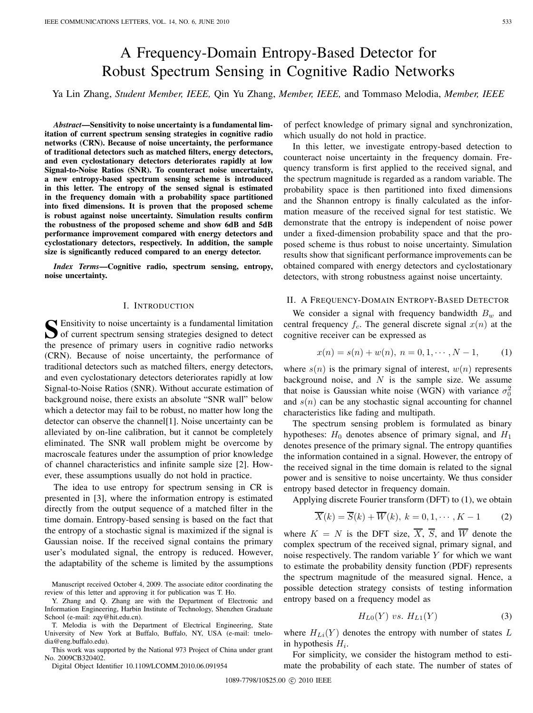# A Frequency-Domain Entropy-Based Detector for Robust Spectrum Sensing in Cognitive Radio Networks

Ya Lin Zhang, *Student Member, IEEE,* Qin Yu Zhang, *Member, IEEE,* and Tommaso Melodia, *Member, IEEE*

*Abstract***—Sensitivity to noise uncertainty is a fundamental limitation of current spectrum sensing strategies in cognitive radio networks (CRN). Because of noise uncertainty, the performance of traditional detectors such as matched filters, energy detectors, and even cyclostationary detectors deteriorates rapidly at low Signal-to-Noise Ratios (SNR). To counteract noise uncertainty, a new entropy-based spectrum sensing scheme is introduced in this letter. The entropy of the sensed signal is estimated in the frequency domain with a probability space partitioned into fixed dimensions. It is proven that the proposed scheme is robust against noise uncertainty. Simulation results confirm the robustness of the proposed scheme and show 6dB and 5dB performance improvement compared with energy detectors and cyclostationary detectors, respectively. In addition, the sample size is significantly reduced compared to an energy detector.**

*Index Terms***—Cognitive radio, spectrum sensing, entropy, noise uncertainty.**

#### I. INTRODUCTION

**S** Ensitivity to noise uncertainty is a fundamental limitation of current spectrum sensing strategies designed to detect the presence of primary users in cognitive radio networks (CRN). Because of noise uncertainty, the performance of traditional detectors such as matched filters, energy detectors, and even cyclostationary detectors deteriorates rapidly at low Signal-to-Noise Ratios (SNR). Without accurate estimation of background noise, there exists an absolute "SNR wall" below which a detector may fail to be robust, no matter how long the detector can observe the channel[1]. Noise uncertainty can be alleviated by on-line calibration, but it cannot be completely eliminated. The SNR wall problem might be overcome by macroscale features under the assumption of prior knowledge of channel characteristics and infinite sample size [2]. However, these assumptions usually do not hold in practice.

The idea to use entropy for spectrum sensing in CR is presented in [3], where the information entropy is estimated directly from the output sequence of a matched filter in the time domain. Entropy-based sensing is based on the fact that the entropy of a stochastic signal is maximized if the signal is Gaussian noise. If the received signal contains the primary user's modulated signal, the entropy is reduced. However, the adaptability of the scheme is limited by the assumptions

Manuscript received October 4, 2009. The associate editor coordinating the review of this letter and approving it for publication was T. Ho.

Y. Zhang and Q. Zhang are with the Department of Electronic and Information Engineering, Harbin Institute of Technology, Shenzhen Graduate School (e-mail: zqy@hit.edu.cn).

T. Melodia is with the Department of Electrical Engineering, State University of New York at Buffalo, Buffalo, NY, USA (e-mail: tmelodia@eng.buffalo.edu).

This work was supported by the National 973 Project of China under grant No. 2009CB320402.

Digital Object Identifier 10.1109/LCOMM.2010.06.091954

of perfect knowledge of primary signal and synchronization, which usually do not hold in practice.

In this letter, we investigate entropy-based detection to counteract noise uncertainty in the frequency domain. Frequency transform is first applied to the received signal, and the spectrum magnitude is regarded as a random variable. The probability space is then partitioned into fixed dimensions and the Shannon entropy is finally calculated as the information measure of the received signal for test statistic. We demonstrate that the entropy is independent of noise power under a fixed-dimension probability space and that the proposed scheme is thus robust to noise uncertainty. Simulation results show that significant performance improvements can be obtained compared with energy detectors and cyclostationary detectors, with strong robustness against noise uncertainty.

## II. A FREQUENCY-DOMAIN ENTROPY-BASED DETECTOR

We consider a signal with frequency bandwidth  $B_w$  and central frequency  $f_c$ . The general discrete signal  $x(n)$  at the cognitive receiver can be expressed as

$$
x(n) = s(n) + w(n), \ n = 0, 1, \cdots, N - 1,
$$
 (1)

where  $s(n)$  is the primary signal of interest,  $w(n)$  represents background noise, and  $N$  is the sample size. We assume that noise is Gaussian white noise (WGN) with variance  $\sigma_0^2$ and  $s(n)$  can be any stochastic signal accounting for channel characteristics like fading and multipath.

The spectrum sensing problem is formulated as binary hypotheses:  $H_0$  denotes absence of primary signal, and  $H_1$ denotes presence of the primary signal. The entropy quantifies the information contained in a signal. However, the entropy of the received signal in the time domain is related to the signal power and is sensitive to noise uncertainty. We thus consider entropy based detector in frequency domain.

Applying discrete Fourier transform (DFT) to (1), we obtain

$$
\overline{X}(k) = \overline{S}(k) + \overline{W}(k), \ k = 0, 1, \cdots, K - 1
$$
 (2)

where  $K = N$  is the DFT size,  $\overline{X}$ ,  $\overline{S}$ , and  $\overline{W}$  denote the complex spectrum of the received signal, primary signal, and noise respectively. The random variable  $Y$  for which we want to estimate the probability density function (PDF) represents the spectrum magnitude of the measured signal. Hence, a possible detection strategy consists of testing information entropy based on a frequency model as

$$
H_{L0}(Y) vs. H_{L1}(Y) \tag{3}
$$

where  $H_{Li}(Y)$  denotes the entropy with number of states L in hypothesis  $H_i$ .

For simplicity, we consider the histogram method to estimate the probability of each state. The number of states of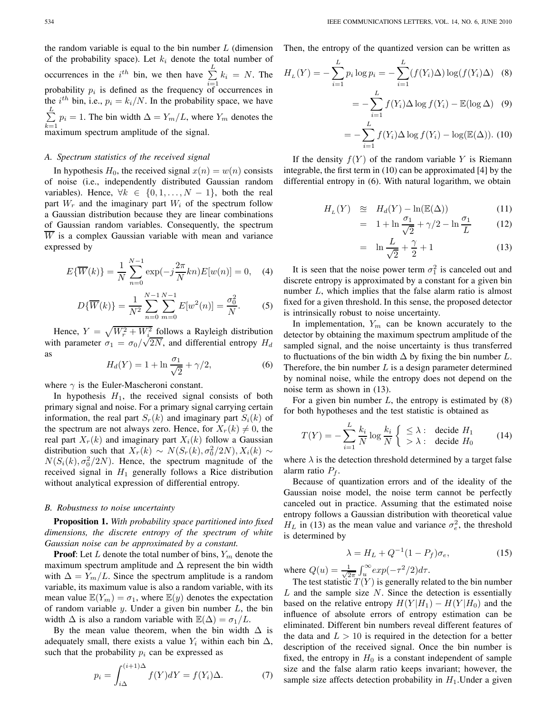the random variable is equal to the bin number  $L$  (dimension of the probability space). Let  $k_i$  denote the total number of occurrences in the  $i^{th}$  bin, we then have  $\sum_{i=1}^{L}$  $\sum_{i=1} k_i = N$ . The probability  $p_i$  is defined as the frequency of occurrences in the  $i^{th}$  bin, i.e.,  $p_i = k_i/N$ . In the probability space, we have  $\sum^L$  $\sum_{k=1} p_i = 1$ . The bin width  $\Delta = Y_m/L$ , where  $Y_m$  denotes the maximum spectrum amplitude of the signal.

### *A. Spectrum statistics of the received signal*

In hypothesis  $H_0$ , the received signal  $x(n) = w(n)$  consists of noise (i.e., independently distributed Gaussian random variables). Hence,  $\forall k \in \{0, 1, ..., N-1\}$ , both the real part  $W_r$  and the imaginary part  $W_i$  of the spectrum follow a Gaussian distribution because they are linear combinations of Gaussian random variables. Consequently, the spectrum  $\overline{W}$  is a complex Gaussian variable with mean and variance expressed by

$$
E\{\overline{W}(k)\} = \frac{1}{N} \sum_{n=0}^{N-1} \exp(-j\frac{2\pi}{N}kn)E[w(n)] = 0, \quad (4)
$$

$$
D\{\overline{W}(k)\} = \frac{1}{N^2} \sum_{n=0}^{N-1} \sum_{m=0}^{N-1} E[w^2(n)] = \frac{\sigma_0^2}{N}.
$$
 (5)

Hence,  $Y = \sqrt{W_r^2 + W_i^2}$  follows a Rayleigh distribution Hence,  $Y = \sqrt{W_r^2 + W_i^2}$  follows a Rayleign distribution<br>with parameter  $\sigma_1 = \sigma_0/\sqrt{2N}$ , and differential entropy  $H_d$ as

$$
H_d(Y) = 1 + \ln \frac{\sigma_1}{\sqrt{2}} + \gamma/2,
$$
 (6)

where  $\gamma$  is the Euler-Mascheroni constant.

In hypothesis  $H_1$ , the received signal consists of both primary signal and noise. For a primary signal carrying certain information, the real part  $S_r(k)$  and imaginary part  $S_i(k)$  of the spectrum are not always zero. Hence, for  $X_r(k) \neq 0$ , the real part  $X_r(k)$  and imaginary part  $X_i(k)$  follow a Gaussian distribution such that  $X_r(k) \sim N(S_r(k), \sigma_0^2/2N), X_i(k) \sim$  $N(S_i(k), \sigma_0^2/2N)$ . Hence, the spectrum magnitude of the received signal in  $H_1$  generally follows a Rice distribution without analytical expression of differential entropy.

## *B. Robustness to noise uncertainty*

**Proposition 1.** *With probability space partitioned into fixed dimensions, the discrete entropy of the spectrum of white Gaussian noise can be approximated by a constant.*

**Proof:** Let  $L$  denote the total number of bins,  $Y_m$  denote the maximum spectrum amplitude and  $\Delta$  represent the bin width with  $\Delta = Y_m/L$ . Since the spectrum amplitude is a random variable, its maximum value is also a random variable, with its mean value  $\mathbb{E}(Y_m) = \sigma_1$ , where  $\mathbb{E}(y)$  denotes the expectation of random variable  $y$ . Under a given bin number  $L$ , the bin width  $\Delta$  is also a random variable with  $\mathbb{E}(\Delta) = \sigma_1/L$ .

By the mean value theorem, when the bin width  $\Delta$  is adequately small, there exists a value  $Y_i$  within each bin  $\Delta$ , such that the probability  $p_i$  can be expressed as

$$
p_i = \int_{i\Delta}^{(i+1)\Delta} f(Y)dY = f(Y_i)\Delta.
$$
 (7)

Then, the entropy of the quantized version can be written as

$$
H_L(Y) = -\sum_{i=1}^{L} p_i \log p_i = -\sum_{i=1}^{L} (f(Y_i)\Delta) \log(f(Y_i)\Delta)
$$
 (8)  

$$
= -\sum_{i=1}^{L} f(Y_i)\Delta \log f(Y_i) - \mathbb{E}(\log \Delta)
$$
 (9)

$$
= -\sum_{i=1} f(Y_i) \Delta \log f(Y_i) - \mathbb{E}(\log \Delta) \quad (9)
$$
  
L

$$
= -\sum_{i=1} f(Y_i) \Delta \log f(Y_i) - \log(\mathbb{E}(\Delta)). \tag{10}
$$

If the density  $f(Y)$  of the random variable Y is Riemann integrable, the first term in (10) can be approximated [4] by the differential entropy in (6). With natural logarithm, we obtain

$$
H_L(Y) \quad \cong \quad H_d(Y) - \ln(\mathbb{E}(\Delta)) \tag{11}
$$

$$
= 1 + \ln \frac{\sigma_1}{\sqrt{2}} + \gamma/2 - \ln \frac{\sigma_1}{L} \tag{12}
$$

$$
= \ln \frac{L}{\sqrt{2}} + \frac{\gamma}{2} + 1 \tag{13}
$$

It is seen that the noise power term  $\sigma_1^2$  is canceled out and discrete entropy is approximated by a constant for a given bin number  $L$ , which implies that the false alarm ratio is almost fixed for a given threshold. In this sense, the proposed detector is intrinsically robust to noise uncertainty.

In implementation,  $Y_m$  can be known accurately to the detector by obtaining the maximum spectrum amplitude of the sampled signal, and the noise uncertainty is thus transferred to fluctuations of the bin width  $\Delta$  by fixing the bin number L. Therefore, the bin number  $L$  is a design parameter determined by nominal noise, while the entropy does not depend on the noise term as shown in (13).

For a given bin number  $L$ , the entropy is estimated by  $(8)$ for both hypotheses and the test statistic is obtained as

$$
T(Y) = -\sum_{i=1}^{L} \frac{k_i}{N} \log \frac{k_i}{N} \begin{cases} \leq \lambda : & \text{decide } H_1 \\ > \lambda : & \text{decide } H_0 \end{cases}
$$
 (14)

where  $\lambda$  is the detection threshold determined by a target false alarm ratio  $P_f$ .

Because of quantization errors and of the ideality of the Gaussian noise model, the noise term cannot be perfectly canceled out in practice. Assuming that the estimated noise entropy follows a Gaussian distribution with theoretical value  $H_L$  in (13) as the mean value and variance  $\sigma_e^2$ , the threshold is determined by

$$
\lambda = H_L + Q^{-1}(1 - P_f)\sigma_e, \tag{15}
$$

where  $Q(u) = \frac{1}{\sqrt{2}}$  $\frac{1}{2\pi} \int_u^{\infty} exp(-\tau^2/2)d\tau.$ 

The test statistic  $T(Y)$  is generally related to the bin number  $L$  and the sample size  $N$ . Since the detection is essentially based on the relative entropy  $H(Y|H_1) - H(Y|H_0)$  and the influence of absolute errors of entropy estimation can be eliminated. Different bin numbers reveal different features of the data and  $L > 10$  is required in the detection for a better description of the received signal. Once the bin number is fixed, the entropy in  $H_0$  is a constant independent of sample size and the false alarm ratio keeps invariant; however, the sample size affects detection probability in  $H_1$ . Under a given